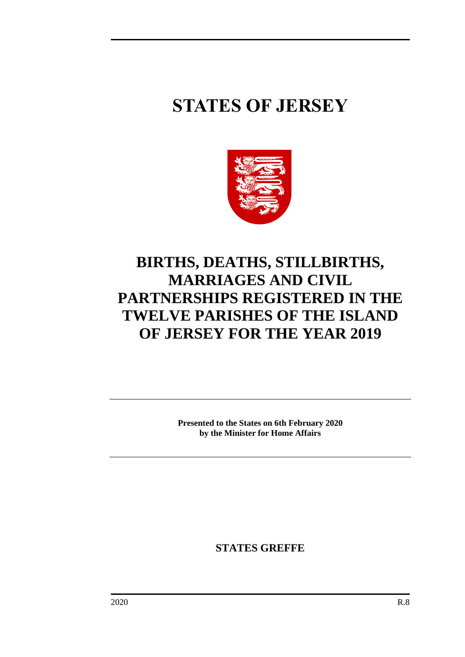# **STATES OF JERSEY**



## **BIRTHS, DEATHS, STILLBIRTHS, MARRIAGES AND CIVIL PARTNERSHIPS REGISTERED IN THE TWELVE PARISHES OF THE ISLAND OF JERSEY FOR THE YEAR 2019**

**Presented to the States on 6th February 2020 by the Minister for Home Affairs**

**STATES GREFFE**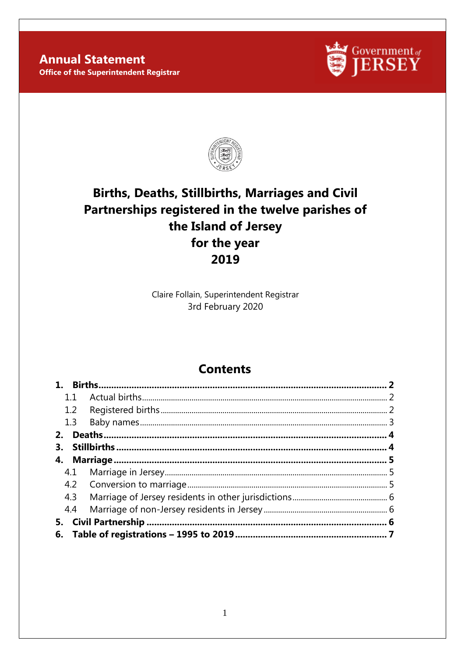#### **Annual Statement Office of the Superintendent Registrar**





### **Births, Deaths, Stillbirths, Marriages and Civil** Partnerships registered in the twelve parishes of the Island of Jersey for the year 2019

Claire Follain, Superintendent Registrar 3rd February 2020

### **Contents**

| 11               |  |
|------------------|--|
| $1.2\phantom{0}$ |  |
| 1.3              |  |
| 2.               |  |
| 3.               |  |
|                  |  |
| 4.1              |  |
|                  |  |
| 4.3              |  |
| 4.4              |  |
| 5.               |  |
|                  |  |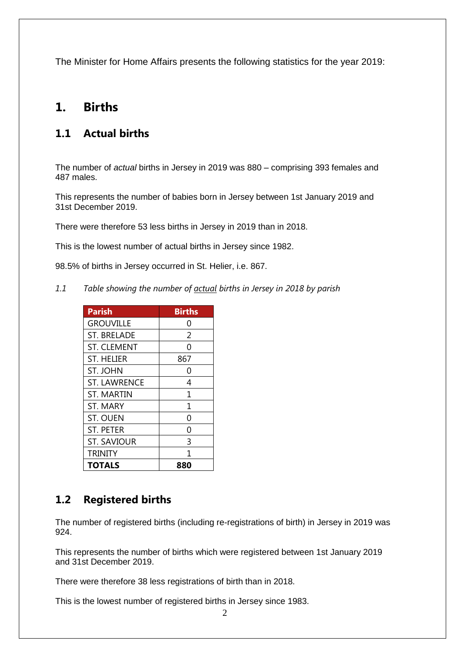The Minister for Home Affairs presents the following statistics for the year 2019:

#### <span id="page-3-0"></span>**1. Births**

#### <span id="page-3-1"></span>**1.1 Actual births**

The number of *actual* births in Jersey in 2019 was 880 – comprising 393 females and 487 males.

This represents the number of babies born in Jersey between 1st January 2019 and 31st December 2019.

There were therefore 53 less births in Jersey in 2019 than in 2018.

This is the lowest number of actual births in Jersey since 1982.

98.5% of births in Jersey occurred in St. Helier, i.e. 867.

*1.1 Table showing the number of actual births in Jersey in 2018 by parish*

| <b>Parish</b>       | <b>Births</b> |
|---------------------|---------------|
| <b>GROUVILLE</b>    | 0             |
| <b>ST. BRELADE</b>  | 2             |
| <b>ST. CLEMENT</b>  | O             |
| <b>ST. HELIER</b>   | 867           |
| ST. JOHN            | ი             |
| <b>ST. LAWRENCE</b> | 4             |
| <b>ST. MARTIN</b>   | 1             |
| <b>ST. MARY</b>     | 1             |
| <b>ST. OUEN</b>     | 0             |
| <b>ST. PETER</b>    | 0             |
| <b>ST. SAVIOUR</b>  | 3             |
| <b>TRINITY</b>      | 1             |
| TOTALS              | 880           |

#### <span id="page-3-2"></span>**1.2 Registered births**

The number of registered births (including re-registrations of birth) in Jersey in 2019 was 924.

This represents the number of births which were registered between 1st January 2019 and 31st December 2019.

There were therefore 38 less registrations of birth than in 2018.

This is the lowest number of registered births in Jersey since 1983.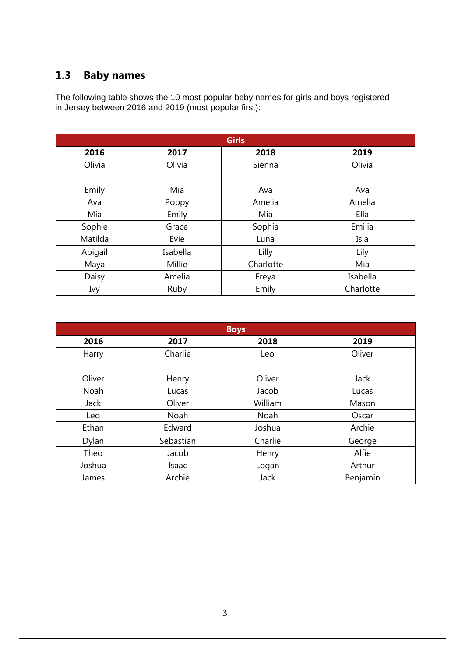### <span id="page-4-0"></span>**1.3 Baby names**

The following table shows the 10 most popular baby names for girls and boys registered in Jersey between 2016 and 2019 (most popular first):

| <b>Girls</b> |          |           |           |  |
|--------------|----------|-----------|-----------|--|
| 2016         | 2017     | 2018      | 2019      |  |
| Olivia       | Olivia   | Sienna    | Olivia    |  |
| Emily        | Mia      | Ava       | Ava       |  |
| Ava          | Poppy    | Amelia    | Amelia    |  |
| Mia          | Emily    | Mia       | Ella      |  |
| Sophie       | Grace    | Sophia    | Emilia    |  |
| Matilda      | Evie     | Luna      | Isla      |  |
| Abigail      | Isabella | Lilly     | Lily      |  |
| Maya         | Millie   | Charlotte | Mia       |  |
| Daisy        | Amelia   | Freya     | Isabella  |  |
| Ivy          | Ruby     | Emily     | Charlotte |  |

<span id="page-4-1"></span>

| <b>Boys</b> |           |         |          |  |
|-------------|-----------|---------|----------|--|
| 2016        | 2017      | 2018    | 2019     |  |
| Harry       | Charlie   | Leo     | Oliver   |  |
| Oliver      | Henry     | Oliver  | Jack     |  |
| Noah        | Lucas     | Jacob   | Lucas    |  |
| <b>Jack</b> | Oliver    | William | Mason    |  |
| Leo         | Noah      | Noah    | Oscar    |  |
| Ethan       | Edward    | Joshua  | Archie   |  |
| Dylan       | Sebastian | Charlie | George   |  |
| Theo        | Jacob     | Henry   | Alfie    |  |
| Joshua      | Isaac     | Logan   | Arthur   |  |
| James       | Archie    | Jack    | Benjamin |  |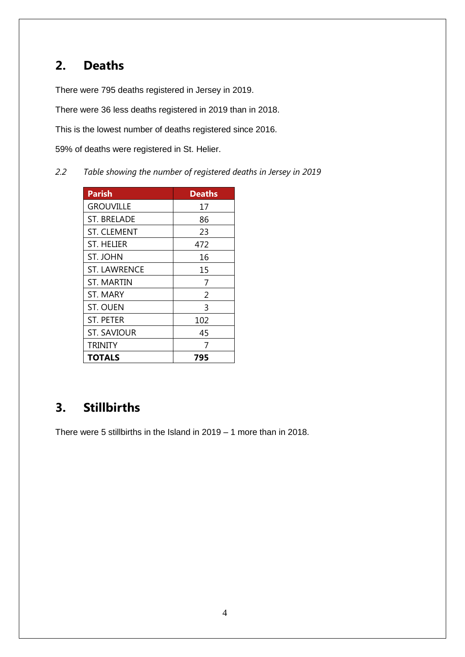### **2. Deaths**

There were 795 deaths registered in Jersey in 2019.

There were 36 less deaths registered in 2019 than in 2018.

This is the lowest number of deaths registered since 2016.

59% of deaths were registered in St. Helier.

*2.2 Table showing the number of registered deaths in Jersey in 2019*

| <b>Parish</b>       | <b>Deaths</b> |
|---------------------|---------------|
| <b>GROUVILLE</b>    | 17            |
| ST. BRELADE         | 86            |
| ST. CLEMENT         | 23            |
| <b>ST. HELIER</b>   | 472           |
| <b>ST. JOHN</b>     | 16            |
| <b>ST. LAWRENCE</b> | 15            |
| ST. MARTIN          | 7             |
| ST. MARY            | 2             |
| <b>ST. OUEN</b>     | 3             |
| <b>ST. PETER</b>    | 102           |
| <b>ST. SAVIOUR</b>  | 45            |
| TRINITY             | 7             |
| TOTALS              | 795           |

### <span id="page-5-0"></span>**3. Stillbirths**

There were 5 stillbirths in the Island in 2019 – 1 more than in 2018.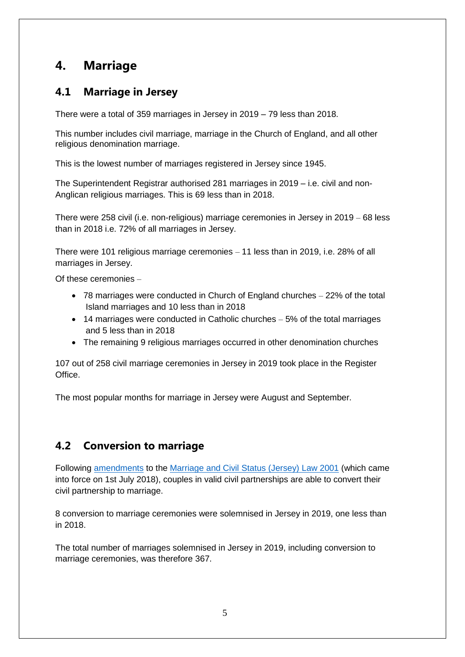### <span id="page-6-0"></span>**4. Marriage**

#### <span id="page-6-1"></span>**4.1 Marriage in Jersey**

There were a total of 359 marriages in Jersey in 2019 – 79 less than 2018.

This number includes civil marriage, marriage in the Church of England, and all other religious denomination marriage.

This is the lowest number of marriages registered in Jersey since 1945.

The Superintendent Registrar authorised 281 marriages in 2019 – i.e. civil and non-Anglican religious marriages. This is 69 less than in 2018.

There were 258 civil (i.e. non-religious) marriage ceremonies in Jersey in 2019 – 68 less than in 2018 i.e. 72% of all marriages in Jersey.

There were 101 religious marriage ceremonies – 11 less than in 2019, i.e. 28% of all marriages in Jersey.

Of these ceremonies –

- 78 marriages were conducted in Church of England churches 22% of the total Island marriages and 10 less than in 2018
- 14 marriages were conducted in Catholic churches 5% of the total marriages and 5 less than in 2018
- The remaining 9 religious marriages occurred in other denomination churches

107 out of 258 civil marriage ceremonies in Jersey in 2019 took place in the Register Office.

The most popular months for marriage in Jersey were August and September.

#### <span id="page-6-2"></span>**4.2 Conversion to marriage**

Following [amendments](https://www.jerseylaw.je/laws/enacted/pages/L-19-2018.aspx) to the [Marriage and Civil Status \(Jersey\) Law 2001](https://www.jerseylaw.je/laws/revised/Pages/12.600.aspx) (which came into force on 1st July 2018), couples in valid civil partnerships are able to convert their civil partnership to marriage.

8 conversion to marriage ceremonies were solemnised in Jersey in 2019, one less than in 2018.

The total number of marriages solemnised in Jersey in 2019, including conversion to marriage ceremonies, was therefore 367.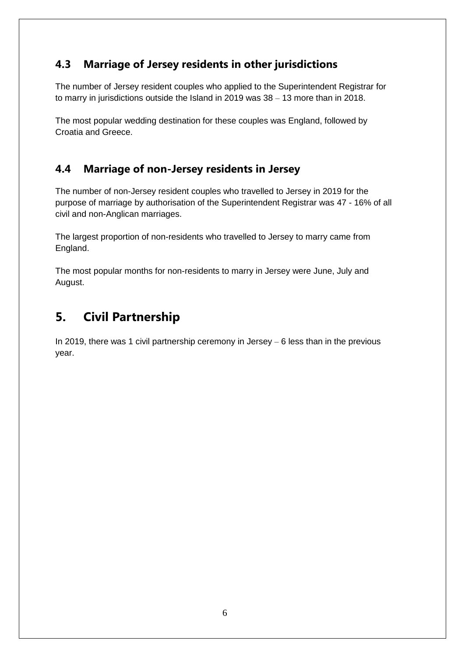#### <span id="page-7-0"></span>**4.3 Marriage of Jersey residents in other jurisdictions**

The number of Jersey resident couples who applied to the Superintendent Registrar for to marry in jurisdictions outside the Island in 2019 was 38 – 13 more than in 2018.

The most popular wedding destination for these couples was England, followed by Croatia and Greece.

#### <span id="page-7-1"></span>**4.4 Marriage of non-Jersey residents in Jersey**

The number of non-Jersey resident couples who travelled to Jersey in 2019 for the purpose of marriage by authorisation of the Superintendent Registrar was 47 - 16% of all civil and non-Anglican marriages.

The largest proportion of non-residents who travelled to Jersey to marry came from England.

The most popular months for non-residents to marry in Jersey were June, July and August.

### <span id="page-7-2"></span>**5. Civil Partnership**

In 2019, there was 1 civil partnership ceremony in Jersey – 6 less than in the previous year.